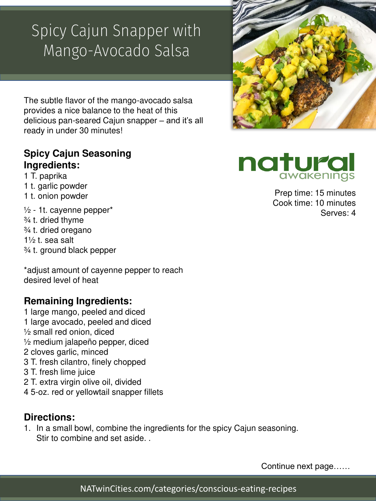## Spicy Cajun Snapper with Mango-Avocado Salsa

The subtle flavor of the mango-avocado salsa provides a nice balance to the heat of this delicious pan-seared Cajun snapper – and it's all ready in under 30 minutes!

#### **Spicy Cajun Seasoning Ingredients:**

- 1 T. paprika
- 1 t. garlic powder
- 1 t. onion powder
- $\frac{1}{2}$  1t. cayenne pepper\* ¾ t. dried thyme ¾ t. dried oregano 1½ t. sea salt ¾ t. ground black pepper

\*adjust amount of cayenne pepper to reach desired level of heat

### **Remaining Ingredients:**

- 1 large mango, peeled and diced 1 large avocado, peeled and diced ½ small red onion, diced ½ medium jalapeño pepper, diced 2 cloves garlic, minced 3 T. fresh cilantro, finely chopped 3 T. fresh lime juice 2 T. extra virgin olive oil, divided
- 4 5-oz. red or yellowtail snapper fillets

#### **Directions:**

1. In a small bowl, combine the ingredients for the spicy Cajun seasoning. Stir to combine and set aside. .



Prep time: 15 minutes Cook time: 10 minutes Serves: 4

Continue next page……